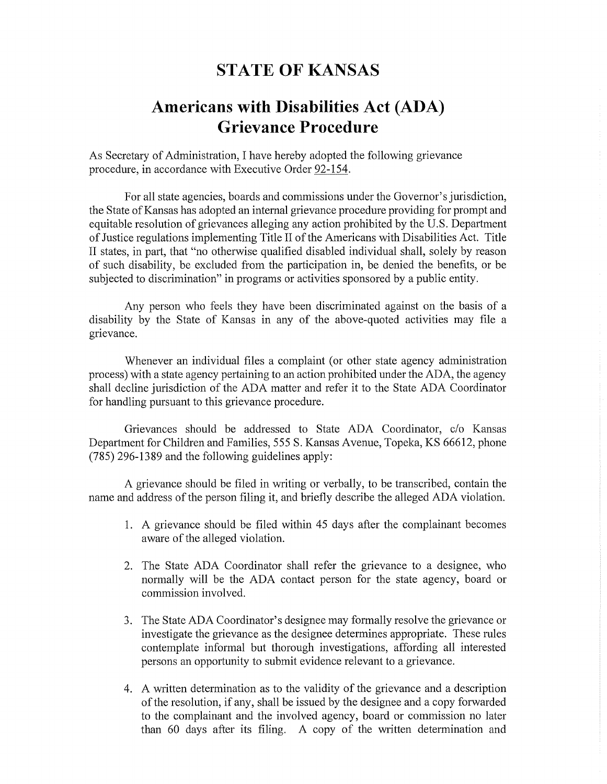## **STATE OF KANSAS**

## **Americans with Disabilities Act (ADA) Grievance Procedure**

As Secretary of Administration, I have hereby adopted the following grievance procedure, in accordance with Executive Order 92-154.

For all state agencies, boards and commissions under the Governor's jurisdiction, the State of Kansas has adopted an internal grievance procedure providing for prompt and equitable resolution of grievances alleging any action prohibited by the U.S. Department of Justice regulations implementing Title II of the Americans with Disabilities Act. Title II states, in part, that "no otherwise qualified disabled individual shall, solely by reason of such disability, be excluded from the participation in, be denied the benefits, or be subjected to discrimination" in programs or activities sponsored by a public entity.

Any person who feels they have been discriminated against on the basis of a disability by the State of Kansas in any of the above-quoted activities may file a grievance.

Whenever an individual files a complaint (or other state agency administration process) with a state agency pertaining to an action prohibited under the ADA, the agency shall decline jurisdiction of the ADA matter and refer it to the State ADA Coordinator for handling pursuant to this grievance procedure.

Grievances should be addressed to State ADA Coordinator, c/o Kansas Department for Children and Families, 555 S. Kansas Avenue, Topeka, KS 66612, phone (785) 296-1389 and the following guidelines apply:

A grievance should be filed in writing or verbally, to be transcribed, contain the name and address of the person filing it, and briefly describe the alleged ADA violation.

- 1. A grievance should be filed within 45 days after the complainant becomes aware of the alleged violation.
- 2. The State ADA Coordinator shall refer the grievance to a designee, who normally will be the ADA contact person for the state agency, board or commission involved.
- 3. The State ADA Coordinator's designee may formally resolve the grievance or investigate the grievance as the designee determines appropriate. These rules contemplate informal but thorough investigations, affording all interested persons an opportunity to submit evidence relevant to a grievance.
- 4. A written determination as to the validity of the grievance and a description of the resolution, if any, shall be issued by the designee and a copy forwarded to the complainant and the involved agency, board or commission no later than 60 days after its filing. A copy of the written determination and